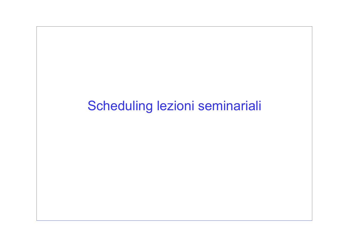## Scheduling lezioni seminariali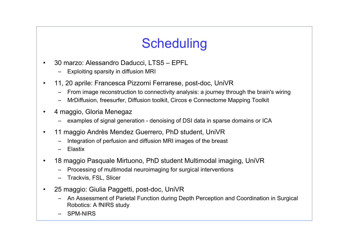## **Scheduling**

- 30 marzo: Alessandro Daducci, LTS5 EPFL
	- Exploiting sparsity in diffusion MRI
- 11, 20 aprile: Francesca Pizzorni Ferrarese, post-doc, UniVR
	- From image reconstruction to connectivity analysis: a journey through the brain's wiring
	- MrDiffusion, freesurfer, Diffusion toolkit, Circos e Connectome Mapping Toolkit
- 4 maggio, Gloria Menegaz
	- examples of signal generation denoising of DSI data in sparse domains or ICA
- 11 maggio Andrès Mendez Guerrero, PhD student, UniVR
	- Integration of perfusion and diffusion MRI images of the breast
	- Elastix
- 18 maggio Pasquale Mirtuono, PhD student Multimodal imaging, UniVR
	- Processing of multimodal neuroimaging for surgical interventions
	- Trackvis, FSL, Slicer
- 25 maggio: Giulia Paggetti, post-doc, UniVR
	- An Assessment of Parietal Function during Depth Perception and Coordination in Surgical Robotics: A fNIRS study
	- SPM-NIRS